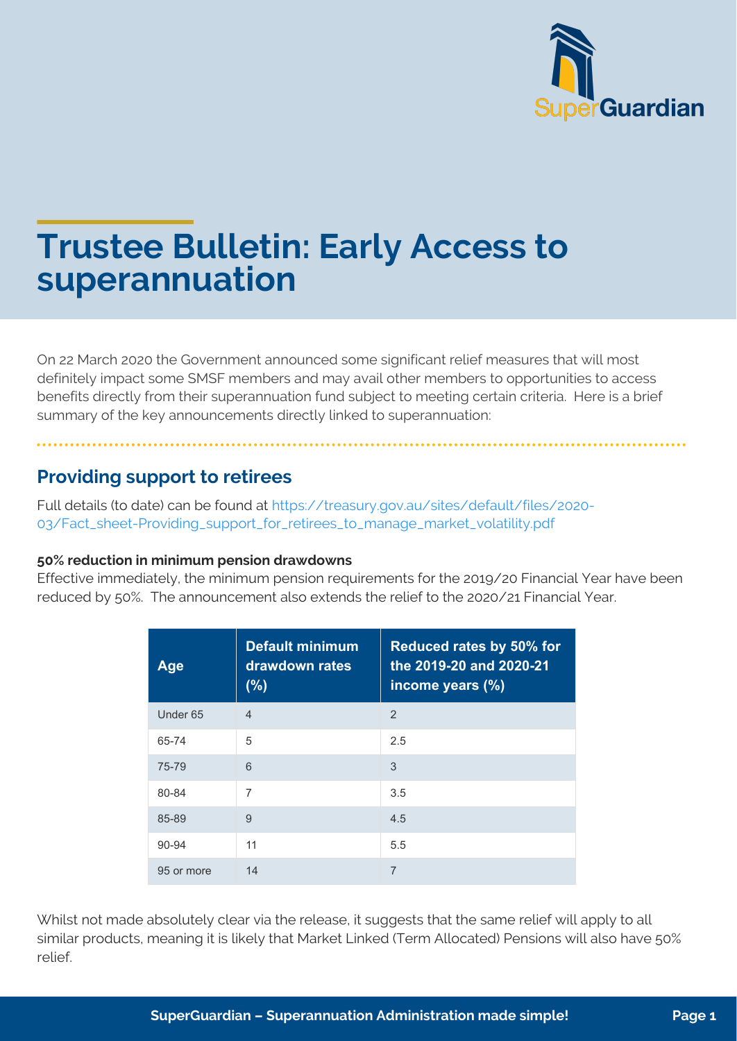

# **Trustee Bulletin: Early Access to superannuation**

On 22 March 2020 the Government announced some significant relief measures that will most definitely impact some SMSF members and may avail other members to opportunities to access benefits directly from their superannuation fund subject to meeting certain criteria. Here is a brief summary of the key announcements directly linked to superannuation:

## **Providing support to retirees**

Full details (to date) can be found at https://treasury.gov.au/sites/default/files/2020- 03/Fact\_sheet-Providing\_support\_for\_retirees\_to\_manage\_market\_volatility.pdf

#### **50% reduction in minimum pension drawdowns**

Effective immediately, the minimum pension requirements for the 2019/20 Financial Year have been reduced by 50%. The announcement also extends the relief to the 2020/21 Financial Year.

| Age                 | <b>Default minimum</b><br>drawdown rates<br>(% ) | Reduced rates by 50% for<br>the 2019-20 and 2020-21<br>income years (%) |
|---------------------|--------------------------------------------------|-------------------------------------------------------------------------|
| Under <sub>65</sub> | $\overline{4}$                                   | $\overline{2}$                                                          |
| 65-74               | 5                                                | 2.5                                                                     |
| 75-79               | 6                                                | 3                                                                       |
| 80-84               | $\overline{7}$                                   | 3.5                                                                     |
| 85-89               | 9                                                | 4.5                                                                     |
| 90-94               | 11                                               | 5.5                                                                     |
| 95 or more          | 14                                               | 7                                                                       |

Whilst not made absolutely clear via the release, it suggests that the same relief will apply to all similar products, meaning it is likely that Market Linked (Term Allocated) Pensions will also have 50% relief.